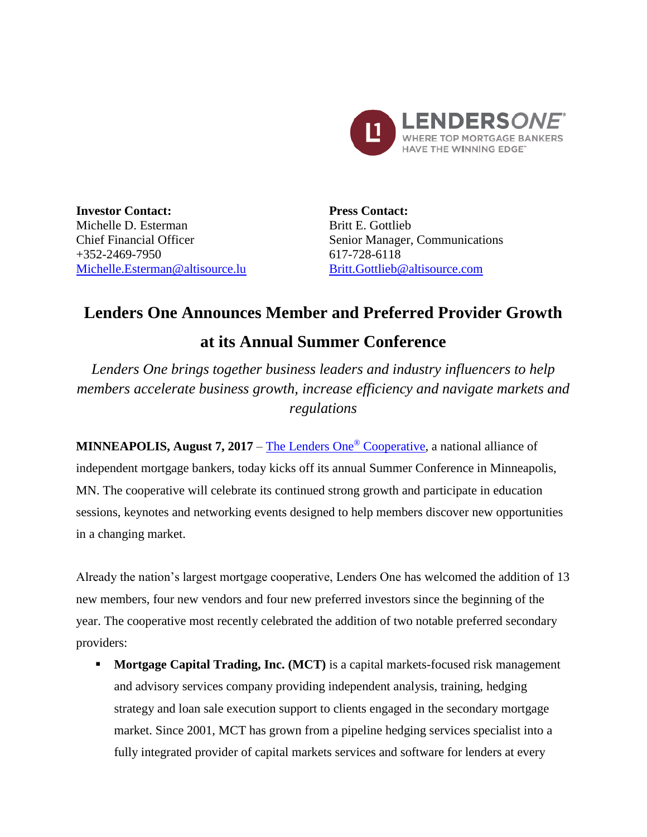

**Investor Contact:** Michelle D. Esterman Chief Financial Officer  $+352-2469-7950$ [Michelle.Esterman@altisource.lu](mailto:Michelle.Esterman@altisource.lu) **Press Contact:** Britt E. Gottlieb Senior Manager, Communications 617-728-6118 [Britt.Gottlieb@altisource.com](mailto:Britt.Gottlieb@altisource.com)

## **Lenders One Announces Member and Preferred Provider Growth at its Annual Summer Conference**

*Lenders One brings together business leaders and industry influencers to help members accelerate business growth, increase efficiency and navigate markets and regulations* 

**MINNEAPOLIS, August 7, 2017** – [The Lenders One](http://lendersone.com/?utm_campaign=L1SummerConference2017&utm_source=PR&utm_medium=PR&utm_content=first)<sup>®</sup> Cooperative, a national alliance of independent mortgage bankers, today kicks off its annual Summer Conference in Minneapolis, MN. The cooperative will celebrate its continued strong growth and participate in education sessions, keynotes and networking events designed to help members discover new opportunities in a changing market.

Already the nation's largest mortgage cooperative, Lenders One has welcomed the addition of 13 new members, four new vendors and four new preferred investors since the beginning of the year. The cooperative most recently celebrated the addition of two notable preferred secondary providers:

**Mortgage Capital Trading, Inc. (MCT)** is a capital markets-focused risk management and advisory services company providing independent analysis, training, hedging strategy and loan sale execution support to clients engaged in the secondary mortgage market. Since 2001, MCT has grown from a pipeline hedging services specialist into a fully integrated provider of capital markets services and software for lenders at every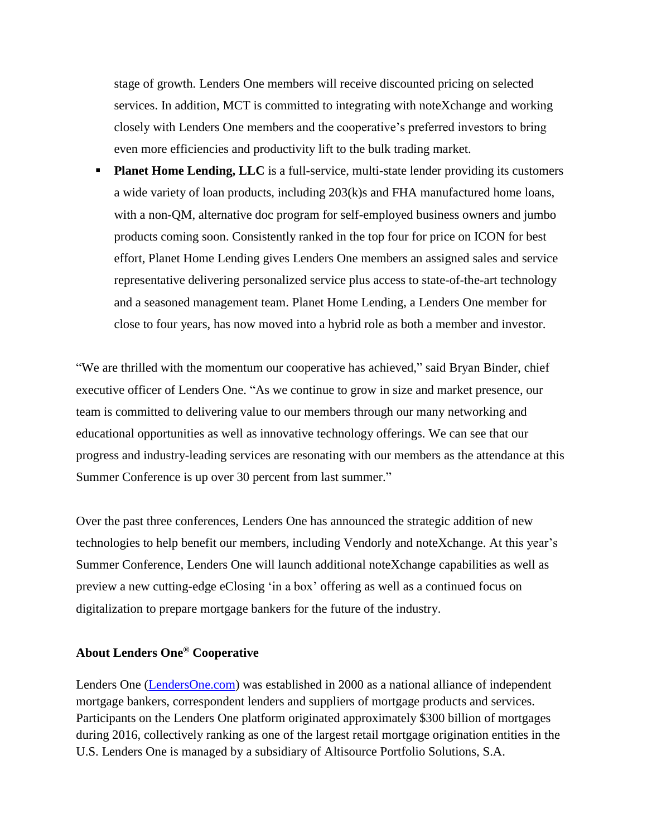stage of growth. Lenders One members will receive discounted pricing on selected services. In addition, MCT is committed to integrating with noteXchange and working closely with Lenders One members and the cooperative's preferred investors to bring even more efficiencies and productivity lift to the bulk trading market.

**Planet Home Lending, LLC** is a full-service, multi-state lender providing its customers a wide variety of loan products, including 203(k)s and FHA manufactured home loans, with a non-QM, alternative doc program for self-employed business owners and jumbo products coming soon. Consistently ranked in the top four for price on ICON for best effort, Planet Home Lending gives Lenders One members an assigned sales and service representative delivering personalized service plus access to state-of-the-art technology and a seasoned management team. Planet Home Lending, a Lenders One member for close to four years, has now moved into a hybrid role as both a member and investor.

"We are thrilled with the momentum our cooperative has achieved," said Bryan Binder, chief executive officer of Lenders One. "As we continue to grow in size and market presence, our team is committed to delivering value to our members through our many networking and educational opportunities as well as innovative technology offerings. We can see that our progress and industry-leading services are resonating with our members as the attendance at this Summer Conference is up over 30 percent from last summer."

Over the past three conferences, Lenders One has announced the strategic addition of new technologies to help benefit our members, including Vendorly and noteXchange. At this year's Summer Conference, Lenders One will launch additional noteXchange capabilities as well as preview a new cutting-edge eClosing 'in a box' offering as well as a continued focus on digitalization to prepare mortgage bankers for the future of the industry.

## **About Lenders One® Cooperative**

Lenders One [\(LendersOne.com\)](http://lendersone.com/?utm_campaign=L1SummerConference2017&utm_source=PR&utm_medium=PR&utm_content=first) was established in 2000 as a national alliance of independent mortgage bankers, correspondent lenders and suppliers of mortgage products and services. Participants on the Lenders One platform originated approximately \$300 billion of mortgages during 2016, collectively ranking as one of the largest retail mortgage origination entities in the U.S. Lenders One is managed by a subsidiary of Altisource Portfolio Solutions, S.A.